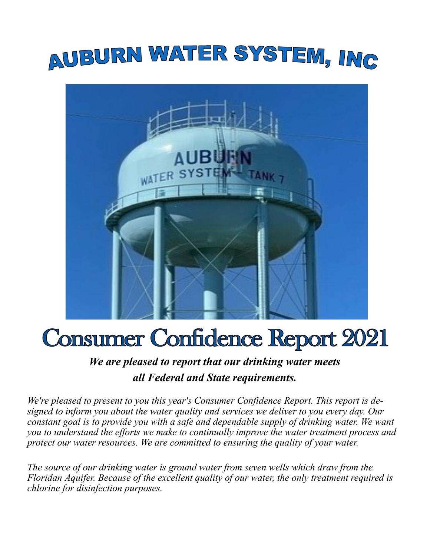## AUBURN WATER SYSTEM, ING



# **Consumer Confidence Report 2021**

### *We are pleased to report that our drinking water meets all Federal and State requirements.*

*We're pleased to present to you this year's Consumer Confidence Report. This report is designed to inform you about the water quality and services we deliver to you every day. Our constant goal is to provide you with a safe and dependable supply of drinking water. We want you to understand the efforts we make to continually improve the water treatment process and protect our water resources. We are committed to ensuring the quality of your water.* 

*The source of our drinking water is ground water from seven wells which draw from the Floridan Aquifer. Because of the excellent quality of our water, the only treatment required is chlorine for disinfection purposes.*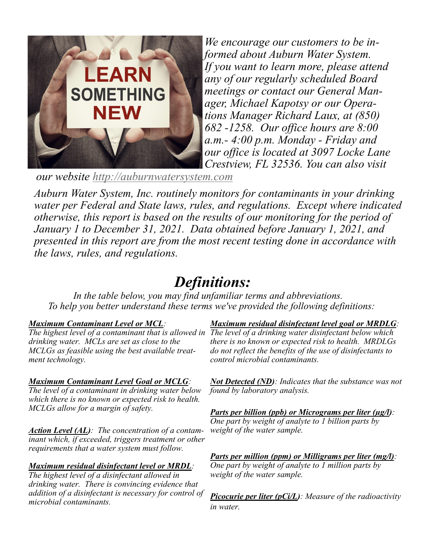

*We encourage our customers to be informed about Auburn Water System. If you want to learn more, please attend any of our regularly scheduled Board meetings or contact our General Manager, Michael Kapotsy or our Operations Manager Richard Laux, at (850) 682 -1258. Our office hours are 8:00 a.m.- 4:00 p.m. Monday - Friday and our office is located at 3097 Locke Lane Crestview, FL 32536. You can also visit* 

*our website <http://auburnwatersystem.com>*

*Auburn Water System, Inc. routinely monitors for contaminants in your drinking water per Federal and State laws, rules, and regulations. Except where indicated otherwise, this report is based on the results of our monitoring for the period of January 1 to December 31, 2021. Data obtained before January 1, 2021, and presented in this report are from the most recent testing done in accordance with the laws, rules, and regulations.* 

## *Definitions:*

*In the table below, you may find unfamiliar terms and abbreviations. To help you better understand these terms we've provided the following definitions:*

#### *Maximum Contaminant Level or MCL:*

*drinking water. MCLs are set as close to the MCLGs as feasible using the best available treatment technology.*

#### *Maximum Contaminant Level Goal or MCLG:*

*The level of a contaminant in drinking water below which there is no known or expected risk to health. MCLGs allow for a margin of safety.*

*Action Level (AL): The concentration of a contaminant which, if exceeded, triggers treatment or other requirements that a water system must follow.*

#### *Maximum residual disinfectant level or MRDL:*

*The highest level of a disinfectant allowed in drinking water. There is convincing evidence that addition of a disinfectant is necessary for control of microbial contaminants.*

#### *Maximum residual disinfectant level goal or MRDLG:*

The highest level of a contaminant that is allowed in The level of a drinking water disinfectant below which *there is no known or expected risk to health. MRDLGs do not reflect the benefits of the use of disinfectants to control microbial contaminants.*

> *Not Detected (ND): Indicates that the substance was not found by laboratory analysis.*

*Parts per billion (ppb) or Micrograms per liter (µg/l): One part by weight of analyte to 1 billion parts by weight of the water sample.*

*Parts per million (ppm) or Milligrams per liter (mg/l): One part by weight of analyte to 1 million parts by weight of the water sample.*

*Picocurie per liter (pCi/L): Measure of the radioactivity in water.*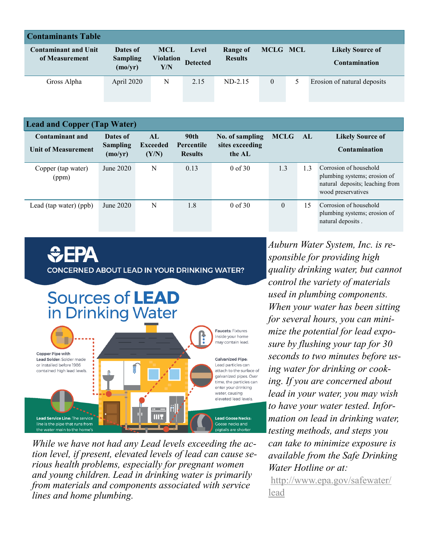| <b>Contaminants Table</b>                     |                                        |                                |                          |                                   |          |                                                 |
|-----------------------------------------------|----------------------------------------|--------------------------------|--------------------------|-----------------------------------|----------|-------------------------------------------------|
| <b>Contaminant and Unit</b><br>of Measurement | Dates of<br><b>Sampling</b><br>(mo/yr) | <b>MCL</b><br>Violation<br>Y/N | Level<br><b>Detected</b> | <b>Range of</b><br><b>Results</b> | MCLG MCL | <b>Likely Source of</b><br><b>Contamination</b> |
| Gross Alpha                                   | April 2020                             | N                              | 2.15                     | $ND-2.15$                         | $\Omega$ | Erosion of natural deposits                     |

| <b>Lead and Copper (Tap Water)</b>                   |                                        |                                 |                                                         |                                              |              |     |                                                                                                                 |  |  |  |
|------------------------------------------------------|----------------------------------------|---------------------------------|---------------------------------------------------------|----------------------------------------------|--------------|-----|-----------------------------------------------------------------------------------------------------------------|--|--|--|
| <b>Contaminant and</b><br><b>Unit of Measurement</b> | Dates of<br><b>Sampling</b><br>(mo/yr) | AI.<br><b>Exceeded</b><br>(Y/N) | 90 <sub>th</sub><br><b>Percentile</b><br><b>Results</b> | No. of sampling<br>sites exceeding<br>the AL | <b>MCLG</b>  | AL  | <b>Likely Source of</b><br><b>Contamination</b>                                                                 |  |  |  |
| Copper (tap water)<br>(ppm)                          | June $2020$                            | N                               | 0.13                                                    | $0$ of 30                                    | 1.3          | 1.3 | Corrosion of household<br>plumbing systems; erosion of<br>natural deposits; leaching from<br>wood preservatives |  |  |  |
| Lead (tap water) (ppb)                               | June 2020                              | N                               | 1.8                                                     | $0$ of 30                                    | $\mathbf{0}$ | 15  | Corrosion of household<br>plumbing systems; erosion of<br>natural deposits.                                     |  |  |  |

 $\bigoplus$  FPA **CONCERNED ABOUT LEAD IN YOUR DRINKING WATER?** 



*While we have not had any Lead levels exceeding the action level, if present, elevated levels of lead can cause serious health problems, especially for pregnant women and young children. Lead in drinking water is primarily from materials and components associated with service lines and home plumbing.* 

*Auburn Water System, Inc. is responsible for providing high quality drinking water, but cannot control the variety of materials used in plumbing components. When your water has been sitting for several hours, you can minimize the potential for lead exposure by flushing your tap for 30 seconds to two minutes before using water for drinking or cooking. If you are concerned about lead in your water, you may wish to have your water tested. Information on lead in drinking water, testing methods, and steps you can take to minimize exposure is available from the Safe Drinking Water Hotline or at:*

[http://www.epa.gov/safewater/](http://www.epa.gov/safewater/lead) [lead](http://www.epa.gov/safewater/lead)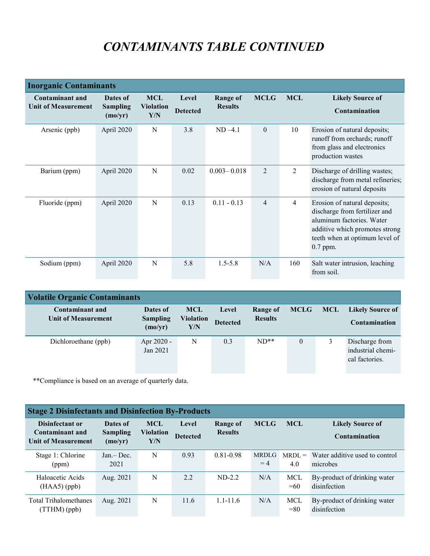## *CONTAMINANTS TABLE CONTINUED*

| <b>Inorganic Contaminants</b>                        |                                        |                                       |                          |                                   |             |            |                                                                                                                                                                              |  |  |  |
|------------------------------------------------------|----------------------------------------|---------------------------------------|--------------------------|-----------------------------------|-------------|------------|------------------------------------------------------------------------------------------------------------------------------------------------------------------------------|--|--|--|
| <b>Contaminant and</b><br><b>Unit of Measurement</b> | Dates of<br><b>Sampling</b><br>(mo/yr) | <b>MCL</b><br><b>Violation</b><br>Y/N | Level<br><b>Detected</b> | <b>Range of</b><br><b>Results</b> | <b>MCLG</b> | <b>MCL</b> | <b>Likely Source of</b><br>Contamination                                                                                                                                     |  |  |  |
| Arsenic (ppb)                                        | April 2020                             | N                                     | 3.8                      | $ND -4.1$                         | $\theta$    | 10         | Erosion of natural deposits;<br>runoff from orchards; runoff<br>from glass and electronics<br>production wastes                                                              |  |  |  |
| Barium (ppm)                                         | April 2020                             | N                                     | 0.02                     | $0.003 - 0.018$                   | 2           | 2          | Discharge of drilling wastes;<br>discharge from metal refineries;<br>erosion of natural deposits                                                                             |  |  |  |
| Fluoride (ppm)                                       | April 2020                             | N                                     | 0.13                     | $0.11 - 0.13$                     | 4           | 4          | Erosion of natural deposits;<br>discharge from fertilizer and<br>aluminum factories. Water<br>additive which promotes strong<br>teeth when at optimum level of<br>$0.7$ ppm. |  |  |  |
| Sodium (ppm)                                         | April 2020                             | N                                     | 5.8                      | $1.5 - 5.8$                       | N/A         | 160        | Salt water intrusion, leaching<br>from soil.                                                                                                                                 |  |  |  |

| <b>Volatile Organic Contaminants</b>          |                             |                                |                 |                            |             |            |                                                       |  |  |
|-----------------------------------------------|-----------------------------|--------------------------------|-----------------|----------------------------|-------------|------------|-------------------------------------------------------|--|--|
| Contaminant and<br><b>Unit of Measurement</b> | Dates of<br><b>Sampling</b> | <b>MCL</b><br><b>Violation</b> | Level           | Range of<br><b>Results</b> | <b>MCLG</b> | <b>MCL</b> | <b>Likely Source of</b>                               |  |  |
|                                               | (mo/yr)                     | Y/N                            | <b>Detected</b> |                            |             |            | Contamination                                         |  |  |
| Dichloroethane (ppb)                          | Apr 2020 -<br>Jan 2021      | N                              | 0.3             | $ND**$                     | $\theta$    |            | Discharge from<br>industrial chemi-<br>cal factories. |  |  |

\*\*Compliance is based on an average of quarterly data.

### **Stage 2 Disinfectants and Disinfection By-Products**

| Disinfectant or<br><b>Contaminant and</b><br><b>Unit of Measurement</b> | Dates of<br><b>Sampling</b><br>(mo/yr) | <b>MCL</b><br>Violation<br>Y/N | Level<br><b>Detected</b> | Range of<br><b>Results</b> | <b>MCLG</b>          | <b>MCL</b>      | <b>Likely Source of</b><br>Contamination     |
|-------------------------------------------------------------------------|----------------------------------------|--------------------------------|--------------------------|----------------------------|----------------------|-----------------|----------------------------------------------|
| Stage 1: Chlorine<br>(ppm)                                              | $Jan.-Dec.$<br>2021                    | N                              | 0.93                     | $0.81 - 0.98$              | <b>MRDLG</b><br>$=4$ | $MRDI =$<br>4.0 | Water additive used to control<br>microbes   |
| Haloacetic Acids<br>$(HAA5)$ (ppb)                                      | Aug. 2021                              | N                              | 2.2                      | $ND-2.2$                   | N/A                  | MCL<br>$=60$    | By-product of drinking water<br>disinfection |
| <b>Total Trihalomethanes</b><br>(TTHM)(ppb)                             | Aug. 2021                              | N                              | 11.6                     | $1.1 - 11.6$               | N/A                  | MCL<br>$= 80$   | By-product of drinking water<br>disinfection |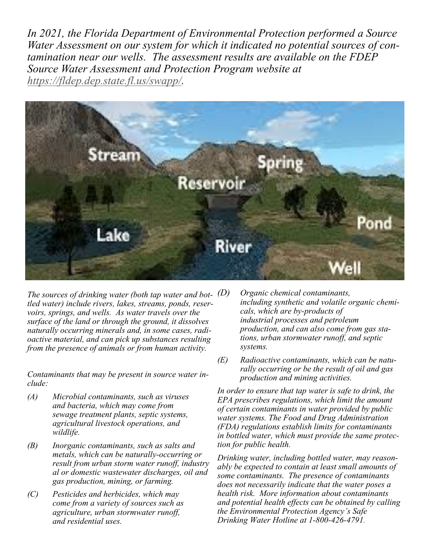*In 2021, the Florida Department of Environmental Protection performed a Source Water Assessment on our system for which it indicated no potential sources of contamination near our wells. The assessment results are available on the FDEP Source Water Assessment and Protection Program website at https://fldep.dep.state.fl.us/swapp/.*



*The sources of drinking water (both tap water and bottled water) include rivers, lakes, streams, ponds, reservoirs, springs, and wells. As water travels over the surface of the land or through the ground, it dissolves naturally occurring minerals and, in some cases, radioactive material, and can pick up substances resulting from the presence of animals or from human activity.*

*Contaminants that may be present in source water include:*

- *(A) Microbial contaminants, such as viruses and bacteria, which may come from sewage treatment plants, septic systems, agricultural livestock operations, and wildlife.*
- *(B) Inorganic contaminants, such as salts and metals, which can be naturally-occurring or result from urban storm water runoff, industry al or domestic wastewater discharges, oil and gas production, mining, or farming.*
- *(C) Pesticides and herbicides, which may come from a variety of sources such as agriculture, urban stormwater runoff, and residential uses.*
- *(D) Organic chemical contaminants, including synthetic and volatile organic chemicals, which are by-products of industrial processes and petroleum production, and can also come from gas stations, urban stormwater runoff, and septic systems.*
- *(E) Radioactive contaminants, which can be naturally occurring or be the result of oil and gas production and mining activities.*

*In order to ensure that tap water is safe to drink, the EPA prescribes regulations, which limit the amount of certain contaminants in water provided by public water systems. The Food and Drug Administration (FDA) regulations establish limits for contaminants in bottled water, which must provide the same protection for public health.*

*Drinking water, including bottled water, may reasonably be expected to contain at least small amounts of some contaminants. The presence of contaminants does not necessarily indicate that the water poses a health risk. More information about contaminants and potential health effects can be obtained by calling the Environmental Protection Agency's Safe Drinking Water Hotline at 1-800-426-4791.*